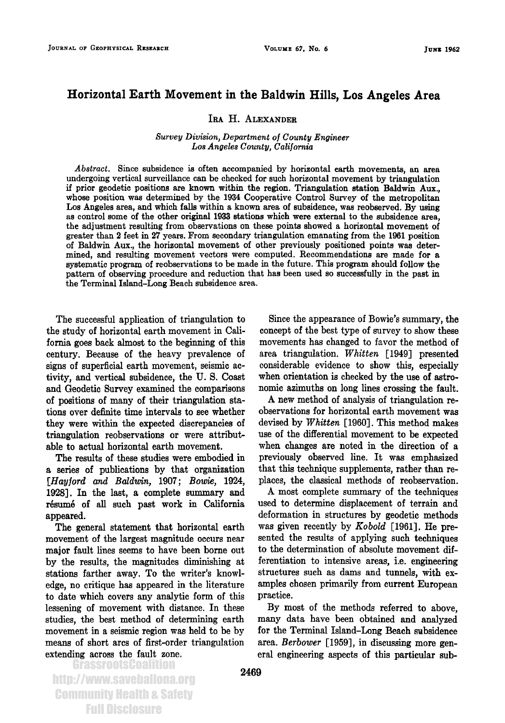## **Horizontal Earth Movement in the Baldwin Hills, Los Angeles Area**

## **IRA H. ALEXANDER**

## **Survey Division, Department of County Engineer Los Angeles County, California**

**Abstract. Since subsidence is often accompanied by horizontal earth movements, an area undergoing vertical surveillance can be checked for such horizontal movement by triangulation ff prior geodetic positions are known within the region. Triangulation station Baldwin Aux., whose position was determined by the 1934 Cooperative Control Survey of the metropolitan Los Angeles area, and which falls within a known area of subsidence, was reobserved. By using as control some of the other original 1933 stations which were external to the subsidence area, the adjustment resulting from observations on these points showed a horizontal movement of greater than 2 feet in 27 years. From secondary triangulation emanating from the 1961 position of Baldwin Aux., the horizontal movement of other previously positioned points was determined, and resulting movement vectors were computed. Recommendations are made for a systematic program of reobservations to be made in the future. This program should follow the pattern of observing procedure and reduction that has been used so successfully in the past in the Terminal Island-Long Beach subsidence area.** 

**The successful application of triangulation to the study of horizontal earth movement in California goes back almost to the beginning of this century. Because of the heavy prevalence of signs of superficial earth movement, seismic activity, and vertical subsidence, the U.S. Coast and Geodetic Survey examined the comparisons of positions of many of their triangulation stations over definite time intervals to see whether they were within the expected discrepancies of triangulation reobservations or were attributable to actual horizontal earth movement.** 

**The results of these studies were embodied in a series of publications by that organization**  [Hayford and Baldwin, 1907; Bowie, 1924, **1928]. In the last, a complete summary and**  résumé of all such past work in California **appeared.** 

**The general statement that horizontal earth movement of the largest magnitude occurs near major fault lines seems to have been borne out by the results, the magnitudes diminishing at stations farther away. To the writer's knowledge, no critique has appeared in the literature to date which covers any analytic form of this lessening of movement with distance. In these studies, the best method of determining earth movement in a seismic region was held to be by means of short arcs of first-order triangulation extending across the fault zone.** 

**Since the appearance of Bowie's summary, the concept of the best type of survey to show these movements has changed to favor the method of area triangulation. Whirten [1949] presented considerable vidence to show this, especially when orientation is checked by the use of astronomic azimuths on long lines crossing the fault.** 

**A new method of analysis of triangulation reobservations for horizontal earth movement was devised by Whirten [1960]. This method makes use of the differential movement o be expected when changes are noted in the direction of a previously observed line. It was emphasized that this technique supplements, rather than replaces, the classical methods of reobservation.** 

**A most complete summary of the techniques used to determine displacement of terrain and deformation in structures by geodetic methods was given recently by Kobold [1961]. He presented the results of applying such techniques to the determination of absolute movement differentiation to intensive areas, i.e. engineering structures such as dams and tunnels, with examples chosen primarily from current European practice.** 

**By most of the methods referred to above, many data have been obtained and analyzed for the Terminal Island-Long Beach subsidence**  area. *Berbower* [1959], in discussing more gen**eral engineering aspects of this particular sub-**

http://www.saveballona.org Community Health & Safety Full Disclosure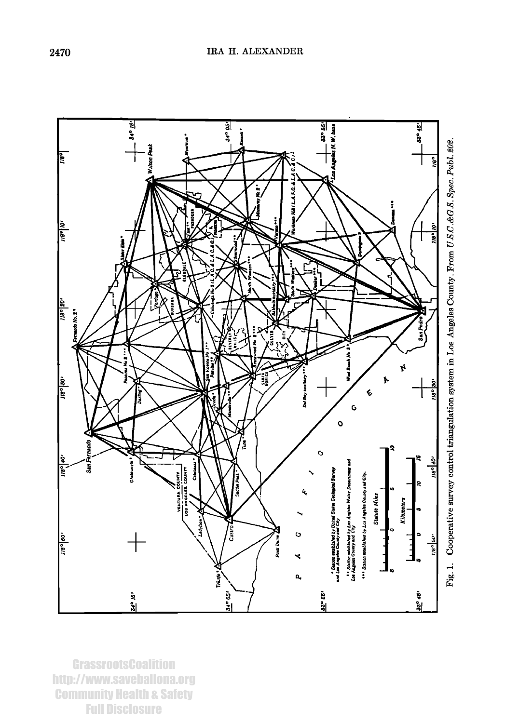

**GrassrootsCoalition** http://www.saveballona.org **Community Health & Safety Full Disclosure**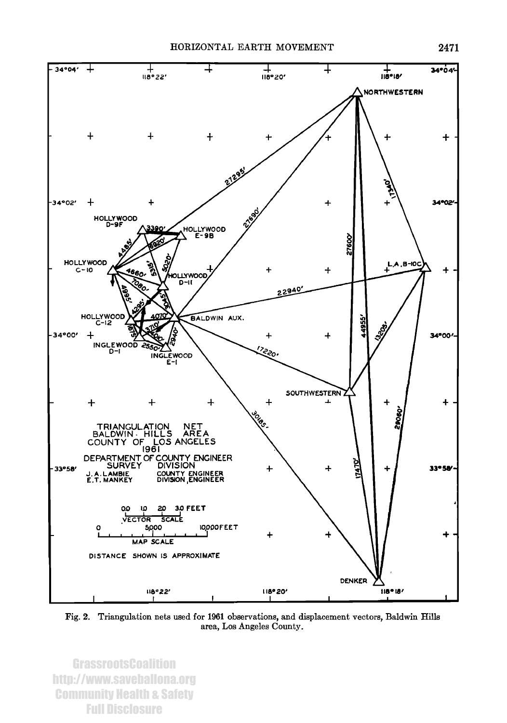



Fig. 2. Triangulation nets used for 1961 observations, and displacement vectors, Baldwin Hills area, Los Angeles County.

**GrassrootsCoalition** http://www.saveballona.org **Community Health & Safety Full Disclosure**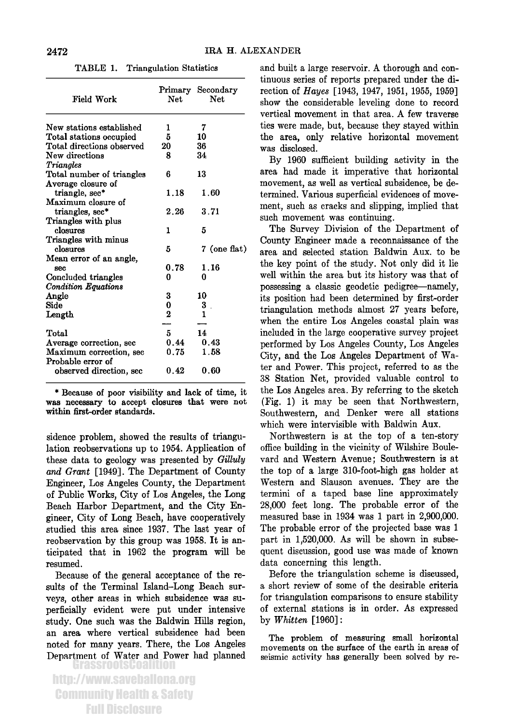| Field Work                                                 | Net.     | Primary Secondary<br><b>Net</b> |
|------------------------------------------------------------|----------|---------------------------------|
| New stations established                                   | 1        | 7                               |
| Total stations occupied                                    | 5        | 10                              |
| Total directions observed                                  | 20       | 36                              |
| New directions                                             | 8        | 34                              |
| Triangles                                                  |          |                                 |
| Total number of triangles                                  | 6        | 13                              |
| Average closure of<br>triangle, sec*<br>Maximum closure of | 1.18     | 1.60                            |
| triangles, sec*                                            | 2.26     | 3.71                            |
| Triangles with plus                                        |          |                                 |
| closures                                                   | 1        | 5                               |
| Triangles with minus                                       |          |                                 |
| closures                                                   | 5        | 7 (one flat)                    |
| Mean error of an angle,                                    |          |                                 |
| sec                                                        | 0.78     | 1.16                            |
| Concluded triangles                                        | 0        | 0                               |
| <b>Condition Equations</b>                                 |          |                                 |
| Angle                                                      | 3        | 10                              |
| Side                                                       | 0        | 3                               |
| Length                                                     | $\bf{2}$ | 1                               |
|                                                            |          |                                 |
| Total                                                      | 5        | 14                              |
| Average correction, sec                                    | 0.44     | 0.43                            |
| Maximum correction, sec<br>Probable error of               | 0.75     | 1.58                            |
| observed direction, sec                                    | 0.42     | 0.60                            |

**TABLE 1. Triangulation Statistics** 

**\* Because of poor visibility and lack of time, it was necessary to accept closures that were not within first-order standards.** 

**sidenee problem, showed the results of triangulation reobservations up to 1954. Application of these data to geology was presented by Gilluly and Grant [1949]. The Department of County Engineer, Los Angeles County, the Department of Public Works, City of Los Angeles, the Long Beach Harbor Department, and the City Engineer, City of Long Beach, have cooperatively studied this area since 1937. The last year of reobservation by this group was 1958. It is anticipated that in 1962 the program will be resumed.** 

**Because of the general acceptance of the resuits of the Terminal Island-Long Beach surveys, other areas in which subsidence was superficially evident were put under intensive study. One such was the Baldwin Hills region, an area where vertical subsidence had been noted for many years. There, the Los Angeles Department of Water and Power had planned** 

http://www.saveballona.org Community Health & Safety Full Disclosure

**and built a large reservoir. A thorough and continuous series of reports prepared under the direction of Hayes [1943, 1947, 1951, 1955, 1959] show the considerable leveling done to record vertical movement in that area. A few traverse ties were made, but, because they stayed within the area, only relative horizontal movement was disclosed.** 

**By 1960 sufficient building activity in the area had made it imperative that horizontal movement, as well as vertical subsidence, be determined. Various superficial evidences of movement, such as cracks and slipping, implied that such movement was continuing.** 

**The Survey Division of the Department of County Engineer made a reconnaissance of the area, and selected station Baldwin Aux. to be the key point of the study. Not only did it lie well within the area but its history was that of possessing aclassic geodetic pedigree--namely, its position had been determined by first-order triangulation methods almost 27 years before, when the entire Los Angeles coastal plain was included in the large cooperative survey project performed by Los Angeles County, Los Angeles City, and the Los Angeles Department of Water and Power. This project, referred to as the 38 Station Net, provided valuable control to the Los Angeles area. By referring to the sketch (Fig. 1) it may be seen that Northwestern, Southwestern, and Denker were all stations which were intervisible with Baldwin Aux.** 

**Northwestern is at the top of a ten-story office building in the vicinity of Wilshire Boulevard and Western Avenue; Southwestern is at the top of a large 310-foot-high gas holder at Western and Slauson avenues. They are the termini of a taped base line approximately 28,000 feet long. The probable error of the measured base in 1934 was 1 part in 2,900,000. The probable error of the projected base was 1 part in 1,520,000. As will be shown in subsequent discussion, good use was made of known data concerning this length.** 

**Before the triangulation scheme is discussed, a short review of some of the desirable criteria for triangulation comparisons to ensure stability of external stations is in order. As expressed by Whirten [1960]:** 

**The problem of measuring small horizontal movements on the surface of the earth in areas of seismic activity has generally been solved by re-**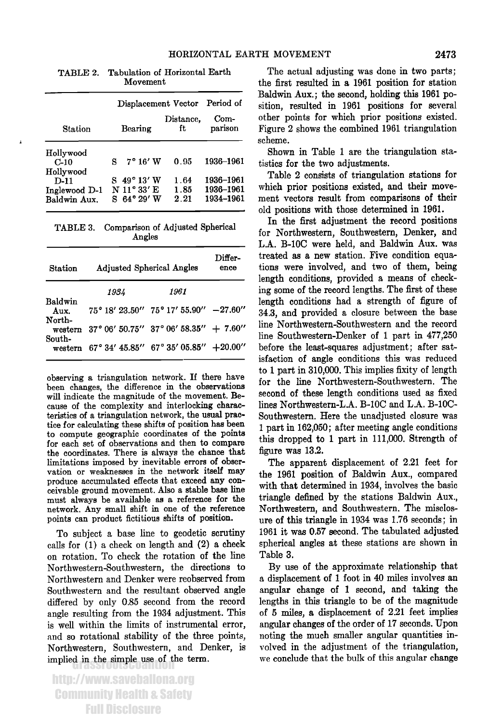|                               | Displacement Vector Period of    |                 |                        |
|-------------------------------|----------------------------------|-----------------|------------------------|
| Station                       | Bearing                          | Distance,<br>ft | $Com-$<br>parison      |
| Hollywood                     |                                  |                 |                        |
| $C-10$                        | $7^{\circ} 16' W$                | 0.95            | 1936–1961              |
| Hollywood                     |                                  |                 |                        |
| $D-11$                        | $8\;49^{\circ}13'W$              | 1.64            | 1936-1961              |
| Inglewood D-1<br>Baldwin Aux. | N 11°33'E<br>$8.64^{\circ}29'$ W | 1.85<br>2.21    | 1936–1961<br>1934–1961 |

 $\mathbf{1}$ 

**TABLE 2. Tabulation of Horizontal Earth Movement** 

**TABLE 3. Comparison of Adjusted Spherical Angles** 

| Station                   | <b>Adjusted Spherical Angles</b>              | Differ-<br>ence                                            |  |
|---------------------------|-----------------------------------------------|------------------------------------------------------------|--|
|                           | 1934                                          | 1961                                                       |  |
| Baldwin<br>Aux.<br>North- |                                               | $75^{\circ}$ 18' 23.50" $75^{\circ}$ 17' 55.90" $-27.60$ " |  |
|                           | western 37° 06' 50.75" 37° 06' 58.35" + 7.60" |                                                            |  |
| South-                    | western 67° 34' 45.85" 67° 35' 05.85" +20.00" |                                                            |  |

**observing a triangulation network. If there have been changes, the difference in the observations will indicate the magnitude of the movement. Because of the complexity and interlocking characteristics of a triangulation network, the usual practice for calculating these shifts of position has been to compute geographic coordinates of the points for each set of observations and then to compare the coordinates. There is always the chance that limitations imposed by inevitable errors of observation or weaknesses in the network itself may produce accumulated effects that exceed any conceivable ground movement. Also a stable base line must always be available as a reference for the network. Any small shift in one of the reference points can product fictitious shifts of position.** 

**To subject a base line to geodetic scrutiny calls for (1) a check on length and (2) a check on rotation. To check the rotation of the line Northwestern-Southwestern, the directions to Northwestern and I)enker were reobserved from Southwestern and the resultant observed angle differed by only 0.85 second from the record angle resulting from the 1934 adjustment. This is well within the limits of instrumental error, and so rotational stability of the three points, Northwestern, Southwestern, and I)enker, is**  implied in the simple use of the term.

http://www.saveballona.org Community Health & Safety Full Disclosure

**The actual adjusting was done in two parts; the first resulted in a 1961 position for station Baldwin Aux.; the second, holding this 1961 position, resulted in 1961 positions for several other points for which prior positions existed. Figure 2 shows the combined 1961 triangulation scheme.** 

**Shown in Table I are the triangulation statistics for the two adjustments.** 

**Table 2 consists of triangulation stations for which prior positions existed, and their movement vectors result from comparisons of their old positions with those determined in 1961.** 

**In the first adjustment the record positions for Northwestern, Southwestern, Denker, and L.A. B-10C were held, and Baldwin Aux. was treated as a new station. Five condition equations were involved, and two of them, being length conditions, provided a means of checking some of the record lengths. The first of these length conditions had a strength of figure of 34.3, and provided a closure between the base line Northwestern-Southwestern and the record line Southwestern-Denker of I part in 477,250 before the least-squares adjustment; after satisfaction of angle conditions this was reduced to I part in 310,000. This implies fixity of length for the line Northwestern-Southwestern. The second of these length conditions used as fixed lines Northwestern-L.A. B-10C and L.A. B-10C-Southwestern. Here the unadjusted closure was I part in 162,050; after meeting angle conditions this dropped to I part in 111,000. Strength of figure was 13.2.** 

**The apparent displacement of 2.21 feet for the 1961 position of Baldwin Aux., compared with that determined in 1934, involves the basic triangle defined by the stations Baldwin Aux., Northwestern, and Southwestern. The misclosure of this triangle in 1934 was 1.76 seconds; in 1961 it was 0.57 second. The tabulated adjusted spherical angles at these stations are shown in Table 3.** 

**By use of the approximate relationship that a displacement of I foot in 40 miles involves an angular change of I second, and taking the lengths in this triangle to be of the magnitude of 5 miles, a displacement of 2.21 feet implies angular changes of the order of 17 seconds. Upon noting the much smaller angular quantities involved in the adjustment of the triangulation, we conclude that the bulk of this angular change**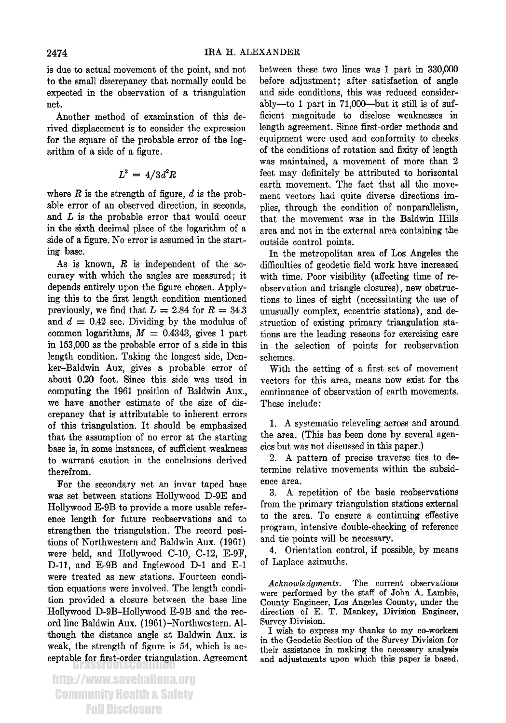**is due to actual movement of the point, and not to the small discrepancy that normally could be expected in the observation of a triangulation net.** 

**Another method of examination of this derived displacement is to consider the expression for the square of the probable error of the logarithm of a side of a figure.** 

$$
L^2 = 4/3d^2R
$$

where  $R$  is the strength of figure,  $d$  is the prob**able error of an observed direction, in seconds, and L is the probable error that would occur in the sixth decimal place of the logarithm of a side of a figure. No error is assumed in the starting base.** 

**As is known, R is independent of the accuracy with which the angles are measured; it depends entirely upon the figure chosen. Applying this to the first length condition mentioned**  previously, we find that  $L = 2.84$  for  $R = 34.3$ and  $d = 0.42$  sec. Dividing by the modulus of common logarithms,  $M = 0.4343$ , gives 1 part **in 153,000 as the probable error of a side in this length condition. Taking the longest side, Denker-Baldwin Aux, gives a probable error of about 0.20 foot. Since this side was used in computing the 1961 position of Baldwin Aux., we have another estimate of the size of discrepancy that is attributable to inherent errors of this triangulation. It should be emphasized that the assumption of no error at the starting**  base is, in some instances, of sufficient weakness **to warrant caution in the conclusions derived therefrom.** 

**For the secondary net an invar taped base was set between stations Hollywood D-9E and Hollywood E-9B to provide a more usable reference length for future reobservations and to strengthen the triangulation. The record positions of Northwestern and Baldwin Aux. (1961) were held, and Hollywood C-10, C-12, E-9F, D-11, and E-9B and Inglewood D-1 and E-1 were treated as new stations. Fourteen condition equations were involved. The length condition provided a closure between the base line Hollywood D-9B-Hollywood E-9B and the record line Baldwin Aux. (1961)-Northwestern. Although the distance angle at Baldwin Aux. is weak, the strength of figure is 54, which is ac**ceptable for first-order triangulation. Agreement **between these two lines was 1 part in 330,000 before adjustment; after satisfaction of angle and side conditions, this was reduced considerably--to 1 part in 71,000--but it still is of sufficient magnitude to disclose weaknesses in length agreement. Since first-order methods and equipment were used and conformity to checks of the conditions of rotation and fixity of length was maintained, a movement of more than 2 feet may definitely be attributed to horizontal earth movement. The fact that all the movement vectors had quite diverse directions implies, through the condition of nonparallelism, that the movement was in the Baldwin Hills area and not in the external area containing the outside control points.** 

**In the metropolitan area of Los Angeles the difficulties of geodetic field work have increased with time. Poor visibility (affecting time of reobservation and triangle closures), new obstructions to lines of sight (necessitating the use of unusually complex, eccentric stations), and destruction of existing primary triangulation stations are the leading reasons for exercising care in the selection of points for reobservation schemes.** 

**With the setting of a first set of movement vectors for this area, means now exist for the continuance of observation of earth movements. These include:** 

**1. A systematic relcveling across and around the area. (This has been done by several agencies but was not discussed in this paper.)** 

**2. A pattern of precise traverse ties to determine relative movements within the subsidence area.** 

**3. A repetition of the basic reobservations from the primary triangulation stations external to the area. To ensure a continuing effective program, intensive double-checking of reference and tie points will be necessary.** 

**4. Orientation control, if possible, by means of Laplace azimuths.** 

**Acknowledgments. The current observations were performed by the staff of John A. Lambie, County Engineer, Los Angeles County, under the direction of E. T. Mankey, Division Engineer, Survey Division.** 

**I wish to express my thanks to my co-workers in the Geodetic Section of the Survey Division for their assistance in making the necessary analysis and adjustments upon which this paper is based.**